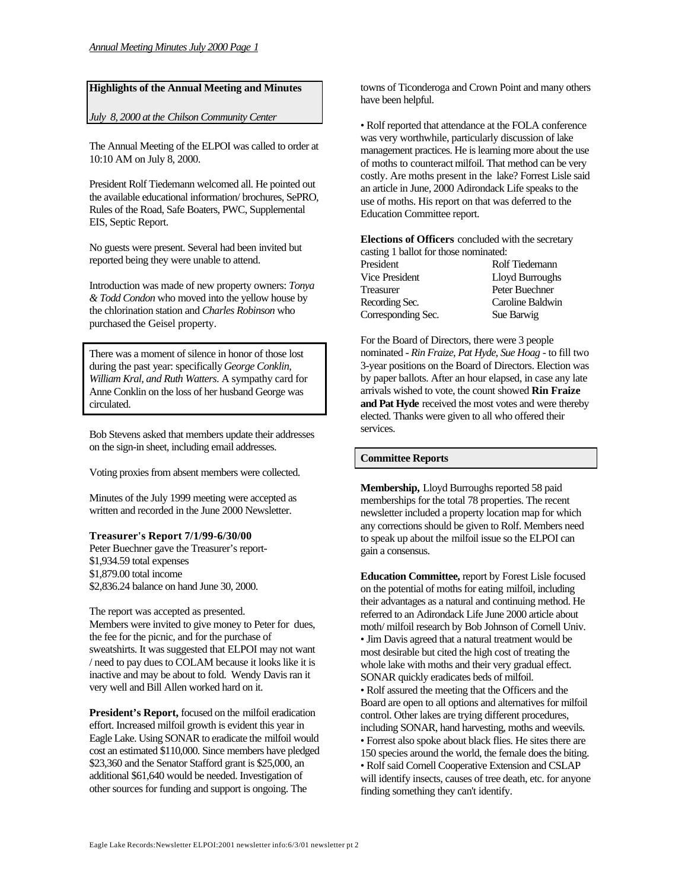## **Highlights of the Annual Meeting and Minutes**

*July 8, 2000 at the Chilson Community Center*

The Annual Meeting of the ELPOI was called to order at 10:10 AM on July 8, 2000.

President Rolf Tiedemann welcomed all. He pointed out the available educational information/ brochures, SePRO, Rules of the Road, Safe Boaters, PWC, Supplemental EIS, Septic Report.

No guests were present. Several had been invited but reported being they were unable to attend.

Introduction was made of new property owners: *Tonya & Todd Condon* who moved into the yellow house by the chlorination station and *Charles Robinson* who purchased the Geisel property.

There was a moment of silence in honor of those lost during the past year: specifically *George Conklin, William Kral, and Ruth Watters*. A sympathy card for Anne Conklin on the loss of her husband George was circulated.

Bob Stevens asked that members update their addresses on the sign-in sheet, including email addresses.

Voting proxies from absent members were collected.

Minutes of the July 1999 meeting were accepted as written and recorded in the June 2000 Newsletter.

#### **Treasurer's Report 7/1/99-6/30/00**

Peter Buechner gave the Treasurer's report- \$1,934.59 total expenses \$1,879.00 total income \$2,836.24 balance on hand June 30, 2000.

The report was accepted as presented.

Members were invited to give money to Peter for dues, the fee for the picnic, and for the purchase of sweatshirts. It was suggested that ELPOI may not want / need to pay dues to COLAM because it looks like it is inactive and may be about to fold. Wendy Davis ran it very well and Bill Allen worked hard on it.

**President's Report,** focused on the milfoil eradication effort. Increased milfoil growth is evident this year in Eagle Lake. Using SONAR to eradicate the milfoil would cost an estimated \$110,000. Since members have pledged \$23,360 and the Senator Stafford grant is \$25,000, an additional \$61,640 would be needed. Investigation of other sources for funding and support is ongoing. The

towns of Ticonderoga and Crown Point and many others have been helpful.

• Rolf reported that attendance at the FOLA conference was very worthwhile, particularly discussion of lake management practices. He is learning more about the use of moths to counteract milfoil. That method can be very costly. Are moths present in the lake? Forrest Lisle said an article in June, 2000 Adirondack Life speaks to the use of moths. His report on that was deferred to the Education Committee report.

**Elections of Officers** concluded with the secretary

| casting 1 ballot for those nominated: |                  |
|---------------------------------------|------------------|
| President                             | Rolf Tiedemann   |
| <b>Vice President</b>                 | Lloyd Burroughs  |
| Treasurer                             | Peter Buechner   |
| Recording Sec.                        | Caroline Baldwin |
| Corresponding Sec.                    | Sue Barwig       |

For the Board of Directors, there were 3 people nominated - *Rin Fraize, Pat Hyde, Sue Hoag* - to fill two 3-year positions on the Board of Directors. Election was by paper ballots. After an hour elapsed, in case any late arrivals wished to vote, the count showed **Rin Fraize and Pat Hyde** received the most votes and were thereby elected. Thanks were given to all who offered their services.

#### **Committee Reports**

**Membership,** Lloyd Burroughs reported 58 paid memberships for the total 78 properties. The recent newsletter included a property location map for which any corrections should be given to Rolf. Members need to speak up about the milfoil issue so the ELPOI can gain a consensus.

**Education Committee,** report by Forest Lisle focused on the potential of moths for eating milfoil, including their advantages as a natural and continuing method. He referred to an Adirondack Life June 2000 article about moth/ milfoil research by Bob Johnson of Cornell Univ. • Jim Davis agreed that a natural treatment would be most desirable but cited the high cost of treating the whole lake with moths and their very gradual effect. SONAR quickly eradicates beds of milfoil. • Rolf assured the meeting that the Officers and the Board are open to all options and alternatives for milfoil control. Other lakes are trying different procedures, including SONAR, hand harvesting, moths and weevils. • Forrest also spoke about black flies. He sites there are 150 species around the world, the female does the biting. • Rolf said Cornell Cooperative Extension and CSLAP will identify insects, causes of tree death, etc. for anyone finding something they can't identify.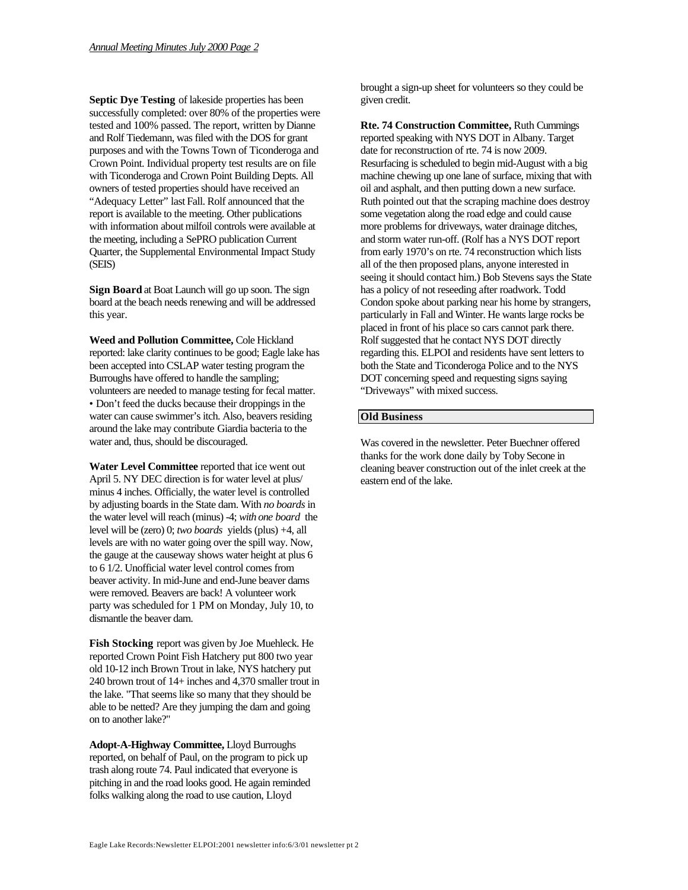**Septic Dye Testing** of lakeside properties has been successfully completed: over 80% of the properties were tested and 100% passed. The report, written by Dianne and Rolf Tiedemann, was filed with the DOS for grant purposes and with the Towns Town of Ticonderoga and Crown Point. Individual property test results are on file with Ticonderoga and Crown Point Building Depts. All owners of tested properties should have received an "Adequacy Letter" last Fall. Rolf announced that the report is available to the meeting. Other publications with information about milfoil controls were available at the meeting, including a SePRO publication Current Quarter, the Supplemental Environmental Impact Study (SEIS)

**Sign Board** at Boat Launch will go up soon. The sign board at the beach needs renewing and will be addressed this year.

**Weed and Pollution Committee,** Cole Hickland reported: lake clarity continues to be good; Eagle lake has been accepted into CSLAP water testing program the Burroughs have offered to handle the sampling; volunteers are needed to manage testing for fecal matter. • Don't feed the ducks because their droppings in the water can cause swimmer's itch. Also, beavers residing around the lake may contribute Giardia bacteria to the water and, thus, should be discouraged.

**Water Level Committee** reported that ice went out April 5. NY DEC direction is for water level at plus/ minus 4 inches. Officially, the water level is controlled by adjusting boards in the State dam. With *no boards* in the water level will reach (minus) -4; *with one board* the level will be (zero) 0; *two boards* yields (plus) +4, all levels are with no water going over the spill way. Now, the gauge at the causeway shows water height at plus 6 to 6 1/2. Unofficial water level control comes from beaver activity. In mid-June and end-June beaver dams were removed. Beavers are back! A volunteer work party was scheduled for 1 PM on Monday, July 10, to dismantle the beaver dam.

**Fish Stocking** report was given by Joe Muehleck. He reported Crown Point Fish Hatchery put 800 two year old 10-12 inch Brown Trout in lake, NYS hatchery put 240 brown trout of 14+ inches and 4,370 smaller trout in the lake. "That seems like so many that they should be able to be netted? Are they jumping the dam and going on to another lake?"

**Adopt-A-Highway Committee,** Lloyd Burroughs reported, on behalf of Paul, on the program to pick up trash along route 74. Paul indicated that everyone is pitching in and the road looks good. He again reminded folks walking along the road to use caution, Lloyd

brought a sign-up sheet for volunteers so they could be given credit.

**Rte. 74 Construction Committee,** Ruth Cummings reported speaking with NYS DOT in Albany. Target date for reconstruction of rte. 74 is now 2009. Resurfacing is scheduled to begin mid-August with a big machine chewing up one lane of surface, mixing that with oil and asphalt, and then putting down a new surface. Ruth pointed out that the scraping machine does destroy some vegetation along the road edge and could cause more problems for driveways, water drainage ditches, and storm water run-off. (Rolf has a NYS DOT report from early 1970's on rte. 74 reconstruction which lists all of the then proposed plans, anyone interested in seeing it should contact him.) Bob Stevens says the State has a policy of not reseeding after roadwork. Todd Condon spoke about parking near his home by strangers, particularly in Fall and Winter. He wants large rocks be placed in front of his place so cars cannot park there. Rolf suggested that he contact NYS DOT directly regarding this. ELPOI and residents have sent letters to both the State and Ticonderoga Police and to the NYS DOT concerning speed and requesting signs saying "Driveways" with mixed success.

### **Old Business**

Was covered in the newsletter. Peter Buechner offered thanks for the work done daily by Toby Secone in cleaning beaver construction out of the inlet creek at the eastern end of the lake.